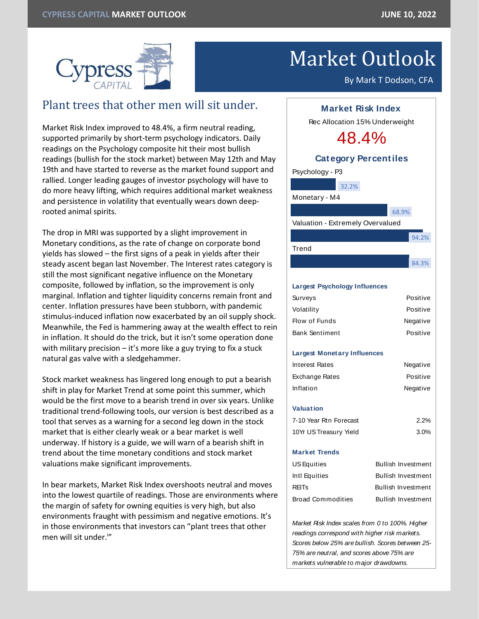

## Market Outlook

By Mark T Dodson, CFA

## Plant trees that other men will sit under.

Market Risk Index improved to 48.4%, a firm neutral reading, supported primarily by short-term psychology indicators. Daily readings on the Psychology composite hit their most bullish readings (bullish for the stock market) between May 12th and May 19th and have started to reverse as the market found support and rallied. Longer leading gauges of investor psychology will have to do more heavy lifting, which requires additional market weakness and persistence in volatility that eventually wears down deeprooted animal spirits.

The drop in MRI was supported by a slight improvement in Monetary conditions, as the rate of change on corporate bond yields has slowed – the first signs of a peak in yields after their steady ascent began last November. The Interest rates category is still the most significant negative influence on the Monetary composite, followed by inflation, so the improvement is only marginal. Inflation and tighter liquidity concerns remain front and center. Inflation pressures have been stubborn, with pandemic stimulus-induced inflation now exacerbated by an oil supply shock. Meanwhile, the Fed is hammering away at the wealth effect to rein in inflation. It should do the trick, but it isn't some operation done with military precision  $-$  it's more like a guy trying to fix a stuck natural gas valve with a sledgehammer.

Stock market weakness has lingered long enough to put a bearish shift in play for Market Trend at some point this summer, which would be the first move to a bearish trend in over six years. Unlike traditional trend-following tools, our version is best described as a tool that serves as a warning for a second leg down in the stock market that is either clearly weak or a bear market is well underway. If history is a guide, we will warn of a bearish shift in trend about the time monetary conditions and stock market valuations make significant improvements.

In bear markets, Market Risk Index overshoots neutral and moves into the lowest quartile of readings. Those are environments where the margin of safety for owning equities is very high, but also environments fraught with pessimism and negative emotions. It's in those environments that investors can "plant trees that other men will sit under.<sup>i</sup>"



*Scores below 25% are bullish. Scores between 25- 75% are neutral, and scores above 75% are markets vulnerable to major drawdowns.*